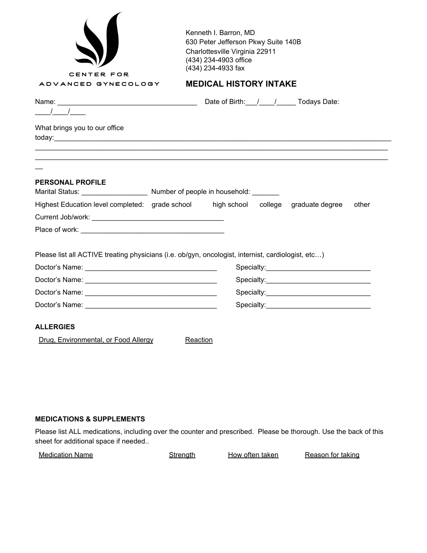| CENTER FOR                                                                                                 | Kenneth I. Barron, MD<br>630 Peter Jefferson Pkwy Suite 140B<br>Charlottesville Virginia 22911<br>(434) 234-4903 office<br>(434) 234-4933 fax |
|------------------------------------------------------------------------------------------------------------|-----------------------------------------------------------------------------------------------------------------------------------------------|
| ADVANCED GYNECOLOGY                                                                                        | <b>MEDICAL HISTORY INTAKE</b>                                                                                                                 |
| $\frac{1}{\sqrt{1-\frac{1}{2}}}$                                                                           | Name: Todays Date: Name: Todays Date: Name: Name: Name: Name: Name: Name: Name: Name: Name: Name: Name: Name: N                               |
| What brings you to our office                                                                              |                                                                                                                                               |
|                                                                                                            |                                                                                                                                               |
| <b>PERSONAL PROFILE</b><br>Marital Status: ________________________ Number of people in household: _______ |                                                                                                                                               |
|                                                                                                            | Highest Education level completed: grade school high school college graduate degree<br>other                                                  |
|                                                                                                            |                                                                                                                                               |
|                                                                                                            |                                                                                                                                               |
|                                                                                                            | Please list all ACTIVE treating physicians (i.e. ob/gyn, oncologist, internist, cardiologist, etc)                                            |
|                                                                                                            |                                                                                                                                               |
|                                                                                                            |                                                                                                                                               |
|                                                                                                            |                                                                                                                                               |
|                                                                                                            |                                                                                                                                               |
|                                                                                                            |                                                                                                                                               |
| <b>ALLERGIES</b>                                                                                           |                                                                                                                                               |

### **MEDICATIONS & SUPPLEMENTS**

Please list ALL medications, including over the counter and prescribed. Please be thorough. Use the back of this sheet for additional space if needed..

| <b>Medication Name</b> | Strength | How often taken | Reason for taking |
|------------------------|----------|-----------------|-------------------|
|------------------------|----------|-----------------|-------------------|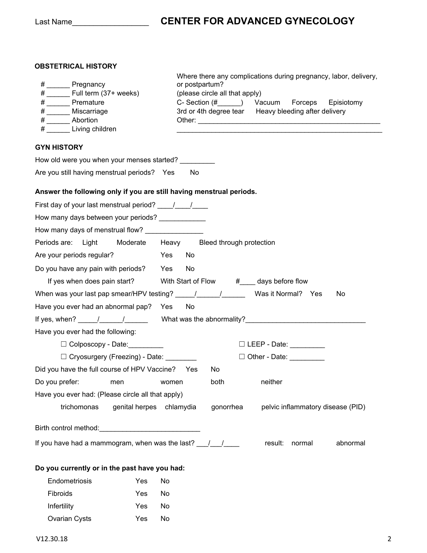## Last Name\_\_\_\_\_\_\_\_\_\_\_\_\_\_\_\_\_\_ **CENTER FOR ADVANCED GYNECOLOGY**

### **OBSTETRICAL HISTORY**

| # _______ Pregnancy                                                  | Where there any complications during pregnancy, labor, delivery,<br>or postpartum?                                                                                                                                                                                                                                                                                                                                                          |
|----------------------------------------------------------------------|---------------------------------------------------------------------------------------------------------------------------------------------------------------------------------------------------------------------------------------------------------------------------------------------------------------------------------------------------------------------------------------------------------------------------------------------|
| $\#$ Full term (37+ weeks)                                           | (please circle all that apply)                                                                                                                                                                                                                                                                                                                                                                                                              |
| # Premature                                                          | C- Section (#______) Vacuum Forceps Episiotomy                                                                                                                                                                                                                                                                                                                                                                                              |
| # ______ Miscarriage                                                 | 3rd or 4th degree tear Heavy bleeding after delivery                                                                                                                                                                                                                                                                                                                                                                                        |
| # Abortion                                                           |                                                                                                                                                                                                                                                                                                                                                                                                                                             |
| # Living children                                                    |                                                                                                                                                                                                                                                                                                                                                                                                                                             |
| <b>GYN HISTORY</b>                                                   |                                                                                                                                                                                                                                                                                                                                                                                                                                             |
| How old were you when your menses started?                           |                                                                                                                                                                                                                                                                                                                                                                                                                                             |
| Are you still having menstrual periods? Yes                          | No                                                                                                                                                                                                                                                                                                                                                                                                                                          |
| Answer the following only if you are still having menstrual periods. |                                                                                                                                                                                                                                                                                                                                                                                                                                             |
|                                                                      |                                                                                                                                                                                                                                                                                                                                                                                                                                             |
| How many days between your periods? _____________                    |                                                                                                                                                                                                                                                                                                                                                                                                                                             |
|                                                                      |                                                                                                                                                                                                                                                                                                                                                                                                                                             |
| Periods are: Light                                                   | Moderate Heavy Bleed through protection                                                                                                                                                                                                                                                                                                                                                                                                     |
| Are your periods regular?<br>Yes                                     | No                                                                                                                                                                                                                                                                                                                                                                                                                                          |
| Do you have any pain with periods? Yes                               | No                                                                                                                                                                                                                                                                                                                                                                                                                                          |
|                                                                      | If yes when does pain start? With Start of Flow #___ days before flow                                                                                                                                                                                                                                                                                                                                                                       |
|                                                                      | When was your last pap smear/HPV testing? $\underline{\qquad \qquad}/\qquad \qquad$ Was it Normal? Yes<br>No                                                                                                                                                                                                                                                                                                                                |
| Have you ever had an abnormal pap? Yes                               | <b>No</b>                                                                                                                                                                                                                                                                                                                                                                                                                                   |
|                                                                      | If yes, when? $\frac{1}{\frac{1}{2} \cdot \frac{1}{2} \cdot \frac{1}{2} \cdot \frac{1}{2} \cdot \frac{1}{2} \cdot \frac{1}{2} \cdot \frac{1}{2} \cdot \frac{1}{2} \cdot \frac{1}{2} \cdot \frac{1}{2} \cdot \frac{1}{2} \cdot \frac{1}{2} \cdot \frac{1}{2} \cdot \frac{1}{2} \cdot \frac{1}{2} \cdot \frac{1}{2} \cdot \frac{1}{2} \cdot \frac{1}{2} \cdot \frac{1}{2} \cdot \frac{1}{2} \cdot \frac{1}{2} \cdot \frac{1}{2} \cdot \frac{$ |
| Have you ever had the following:                                     |                                                                                                                                                                                                                                                                                                                                                                                                                                             |
| $\Box$ Colposcopy - Date:                                            | □ LEEP - Date: _________                                                                                                                                                                                                                                                                                                                                                                                                                    |
| □ Cryosurgery (Freezing) - Date: ________                            | □ Other - Date: _________                                                                                                                                                                                                                                                                                                                                                                                                                   |
| Did you have the full course of HPV Vaccine? Yes                     | No.                                                                                                                                                                                                                                                                                                                                                                                                                                         |
| Do you prefer:<br>men<br>women                                       | both<br>neither                                                                                                                                                                                                                                                                                                                                                                                                                             |
| Have you ever had: (Please circle all that apply)                    |                                                                                                                                                                                                                                                                                                                                                                                                                                             |
| trichomonas<br>genital herpes chlamydia                              | pelvic inflammatory disease (PID)<br>gonorrhea                                                                                                                                                                                                                                                                                                                                                                                              |
|                                                                      |                                                                                                                                                                                                                                                                                                                                                                                                                                             |
| If you have had a mammogram, when was the last? $\frac{1}{\sqrt{2}}$ | result:<br>normal<br>abnormal                                                                                                                                                                                                                                                                                                                                                                                                               |
| Do you currently or in the past have you had:                        |                                                                                                                                                                                                                                                                                                                                                                                                                                             |
| Endometriosis<br>Yes<br>No                                           |                                                                                                                                                                                                                                                                                                                                                                                                                                             |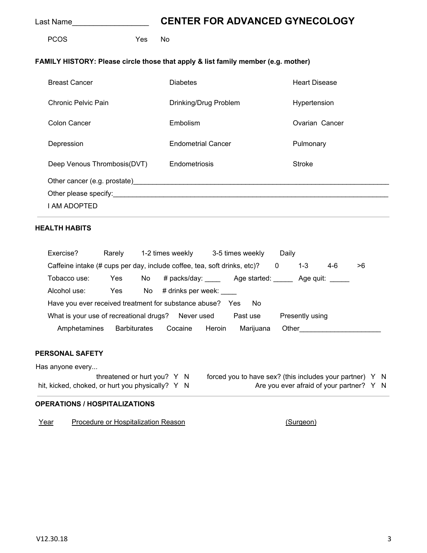## Last Name\_\_\_\_\_\_\_\_\_\_\_\_\_\_\_\_\_\_ **CENTER FOR ADVANCED GYNECOLOGY**

PCOS Yes No

#### **FAMILY HISTORY: Please circle those that apply & list family member (e.g. mother)**

| <b>Breast Cancer</b>                                                                                                                                                                                                           | <b>Diabetes</b>           | <b>Heart Disease</b> |
|--------------------------------------------------------------------------------------------------------------------------------------------------------------------------------------------------------------------------------|---------------------------|----------------------|
| Chronic Pelvic Pain                                                                                                                                                                                                            | Drinking/Drug Problem     | Hypertension         |
| Colon Cancer                                                                                                                                                                                                                   | Embolism                  | Ovarian Cancer       |
| Depression                                                                                                                                                                                                                     | <b>Endometrial Cancer</b> | Pulmonary            |
| Deep Venous Thrombosis (DVT)                                                                                                                                                                                                   | Endometriosis             | <b>Stroke</b>        |
| Other cancer (e.g. prostate) example and the control of the control of the control of the control of the control of the control of the control of the control of the control of the control of the control of the control of t |                           |                      |
|                                                                                                                                                                                                                                |                           |                      |
| I AM ADOPTED                                                                                                                                                                                                                   |                           |                      |

### **HEALTH HABITS**

| Exercise?                                                                | Rarely |                     | 1-2 times weekly                            |        | 3-5 times weekly |   | Daily           |                  |    |  |
|--------------------------------------------------------------------------|--------|---------------------|---------------------------------------------|--------|------------------|---|-----------------|------------------|----|--|
| Caffeine intake (# cups per day, include coffee, tea, soft drinks, etc)? |        |                     |                                             |        |                  | 0 | 1-3             | 4-6              | >6 |  |
| Tobacco use:                                                             | Yes    | No                  | # packs/day: _________ Age started: _______ |        |                  |   |                 | Age quit: $\_\_$ |    |  |
| Alcohol use:                                                             | Yes    | No l                | # drinks per week:                          |        |                  |   |                 |                  |    |  |
| Have you ever received treatment for substance abuse? Yes<br>No.         |        |                     |                                             |        |                  |   |                 |                  |    |  |
| What is your use of recreational drugs? Never used                       |        |                     |                                             |        | Past use         |   | Presently using |                  |    |  |
| Amphetamines                                                             |        | <b>Barbiturates</b> | Cocaine                                     | Heroin | Marijuana        |   | Other           |                  |    |  |

#### **PERSONAL SAFETY**

Has anyone every... hit, kicked, choked, or hurt you physically? Y N

threatened or hurt you? Y N forced you to have sex? (this includes your partner) Y N<br>I, or hurt you physically? Y N Are you ever afraid of your partner? Y N

#### **OPERATIONS / HOSPITALIZATIONS**

Year Procedure or Hospitalization Reason **From and Francisco (Surgeon)**